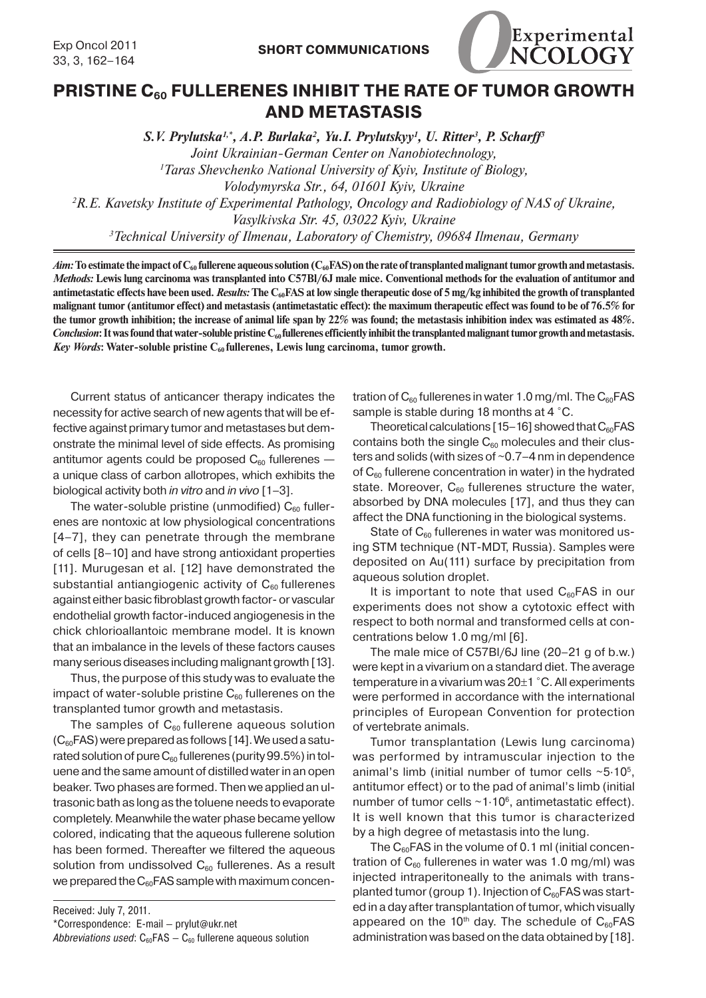

## **PRISTINE C<sub>60</sub> FULLERENES INHIBIT THE RATE OF TUMOR GROWTH AND METASTASIS**

*S.V. Prylutska<sup>1,\*</sup>, A.P. Burlaka<sup>2</sup>, Yu.I. Prylutskyy<sup>1</sup>, U. Ritter<sup>3</sup>, P. Scharff<sup>8</sup> Joint Ukrainian-German Center on Nanobiotechnology, 1 Taras Shevchenko National University of Kyiv, Institute of Biology, Volodymyrska Str., 64, 01601 Kyiv, Ukraine 2 R.E. Kavetsky Institute of Experimental Pathology, Oncology and Radiobiology of NAS of Ukraine, Vasylkivska Str. 45, 03022 Kyiv, Ukraine 3 Technical University of Ilmenau, Laboratory of Chemistry, 09684 Ilmenau, Germany*

*Aim*: To estimate the impact of C<sub>60</sub> fullerene aqueous solution (C<sub>60</sub>FAS) on the rate of transplanted malignant tumor growth and metastasis. *Methods:* **Lewis lung carcinoma was transplanted into С57Bl/6J male mice. Conventional methods for the evaluation of antitumor and**  antimetastatic effects have been used. *Results:* The C<sub>60</sub>FAS at low single therapeutic dose of 5 mg/kg inhibited the growth of transplanted **malignant tumor (antitumor effect) and metastasis (antimetastatic effect): the maximum therapeutic effect was found to be of 76.5% for the tumor growth inhibition; the increase of animal life span by 22% was found; the metastasis inhibition index was estimated as 48%.** *Conclusion*: It was found that water-soluble pristine C<sub>60</sub> fullerenes efficiently inhibit the transplanted malignant tumor growth and metastasis. *Key Words*: Water-soluble pristine C<sub>60</sub> fullerenes, Lewis lung carcinoma, tumor growth.

Current status of anticancer therapy indicates the necessity for active search of new agents that will be effective against primary tumor and metastases but demonstrate the minimal level of side effects. As promising antitumor agents could be proposed  $C_{60}$  fullerenes  $$ a unique class of carbon allotropes, which exhibits the biological activity both *in vitro* and *in vivo* [1–3].

The water-soluble pristine (unmodified)  $C_{60}$  fullerenes are nontoxic at low physiological concentrations [4–7], they can penetrate through the membrane of cells [8–10] and have strong antioxidant properties [11]. Murugesan et al. [12] have demonstrated the substantial antiangiogenic activity of  $C_{60}$  fullerenes against either basic fibroblast growth factor- or vascular endothelial growth factor-induced angiogenesis in the chick chlorioallantoic membrane model. It is known that an imbalance in the levels of these factors causes many serious diseases including malignant growth [13].

Thus, the purpose of this study was to evaluate the impact of water-soluble pristine  $C_{60}$  fullerenes on the transplanted tumor growth and metastasis.

The samples of  $C_{60}$  fullerene aqueous solution  $(C_{60}FAS)$  were prepared as follows [14]. We used a saturated solution of pure  $C_{60}$  fullerenes (purity 99.5%) in toluene and the same amount of distilled water in an open beaker. Two phases are formed. Then we applied an ultrasonic bath as long as the toluene needs to evaporate completely. Meanwhile the water phase became yellow colored, indicating that the aqueous fullerene solution has been formed. Thereafter we filtered the aqueous solution from undissolved  $C_{60}$  fullerenes. As a result we prepared the  $C_{60}$ FAS sample with maximum concen-

Received: July 7, 2011.

Abbreviations used:  $C_{60}FAS - C_{60}$  fullerene aqueous solution

tration of  $C_{60}$  fullerenes in water 1.0 mg/ml. The  $C_{60}$ FAS sample is stable during 18 months at 4 °C.

Theoretical calculations [15–16] showed that  $C_{60}FAS$ contains both the single  $C_{60}$  molecules and their clusters and solids (with sizes of ~0.7–4 nm in dependence of  $C_{60}$  fullerene concentration in water) in the hydrated state. Moreover,  $C_{60}$  fullerenes structure the water, absorbed by DNA molecules [17], and thus they can affect the DNA functioning in the biological systems.

State of  $C_{60}$  fullerenes in water was monitored using STM technique (NT-MDT, Russia). Samples were deposited on Au(111) surface by precipitation from aqueous solution droplet.

It is important to note that used  $C_{60}FAS$  in our experiments does not show a cytotoxic effect with respect to both normal and transformed cells at concentrations below 1.0 mg/ml [6].

The male mice of C57BI/6J line (20-21 g of b.w.) were kept in a vivarium on a standard diet. The average temperature in a vivarium was  $20<sup>±</sup>1$  °C. All experiments were performed in accordance with the international principles of European Convention for protection of vertebrate animals.

Tumor transplantation (Lewis lung carcinoma) was performed by intramuscular injection to the animal's limb (initial number of tumor cells  $\sim$ 5.10<sup>5</sup>, antitumor effect) or to the pad of animal's limb (initial number of tumor cells  $~1.10$ <sup>6</sup>, antimetastatic effect). It is well known that this tumor is characterized by a high degree of metastasis into the lung.

The  $C_{60}$ FAS in the volume of 0.1 ml (initial concentration of  $C_{60}$  fullerenes in water was 1.0 mg/ml) was injected intraperitoneally to the animals with transplanted tumor (group 1). Injection of  $C_{60}$ FAS was started in a day after transplantation of tumor, which visually appeared on the 10<sup>th</sup> day. The schedule of  $C_{60}FAS$ administration was based on the data obtained by [18].

<sup>\*</sup>Correspondence: E-mail — prylut@ukr.net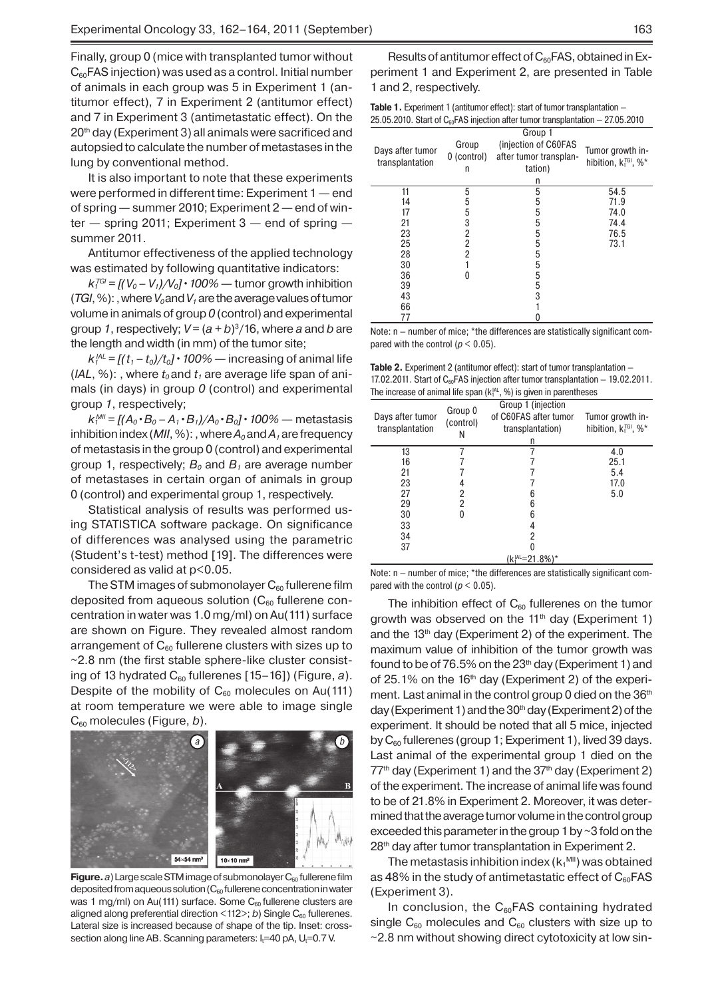Finally, group 0 (mice with transplanted tumor without  $C_{60}$ FAS injection) was used as a control. Initial number of animals in each group was 5 in Experiment 1 (antitumor effect), 7 in Experiment 2 (antitumor effect) and 7 in Experiment 3 (antimetastatic effect). On the 20th day (Experiment 3) all animals were sacrificed and autopsied to calculate the number of metastases in the lung by conventional method.

It is also important to note that these experiments were performed in different time: Experiment 1 — end of spring — summer 2010; Experiment 2 — end of winter — spring 2011; Experiment 3 — end of spring summer 2011.

Antitumor effectiveness of the applied technology was estimated by following quantitative indicators:

 $k_1^{\text{TOI}} = [(V_0 - V_1)/V_0] \cdot 100\%$  — tumor growth inhibition ( $TGI$ , %):, where  $V_0$  and  $V_1$  are the average values of tumor volume in animals of group *0* (control) and experimental group *1*, respectively; *V* = (*a + b*)3 /16, where *а* and *b* are the length and width (in mm) of the tumor site;

 $k_i^{\mu} = [(t_i - t_0)/t_0] \cdot 100\%$  — increasing of animal life  $(IAL, %)$ :, where  $t_0$  and  $t_1$  are average life span of animals (in days) in group *0* (control) and experimental group *1*, respectively;

*k1 MII = [(A0•B0 – A1•B1)/A0•B0]•100%* — metastasis inhibition index (*MII*, %): , where  $A_0$  and  $A_1$  are frequency of metastasis in the group 0 (control) and experimental group 1, respectively;  $B_0$  and  $B_1$  are average number of metastases in certain organ of animals in group 0 (control) and experimental group 1, respectively.

Statistical analysis of results was performed using STATISTICA software package. On significance of differences was analysed using the parametric (Student's t-test) method [19]. The differences were considered as valid at  $p<0.05$ .

The STM images of submonolayer  $C_{60}$  fullerene film deposited from aqueous solution  $(C_{60})$  fullerene concentration in water was 1.0 mg/ml) on Au(111) surface are shown on Figure. They revealed almost random arrangement of  $C_{60}$  fullerene clusters with sizes up to  $\sim$ 2.8 nm (the first stable sphere-like cluster consisting of 13 hydrated C<sub>60</sub> fullerenes [15-16]) (Figure, a). Despite of the mobility of  $C_{60}$  molecules on Au(111) at room temperature we were able to image single C60 molecules (Figure, *b*).



**Figure.** *a*) Large scale STM image of submonolayer C<sub>60</sub> fullerene film deposited from aqueous solution ( $C_{60}$  fullerene concentration in water was 1 mg/ml) on Au(111) surface. Some  $C_{60}$  fullerene clusters are aligned along preferential direction  $\langle 112 \rangle$ ; *b*) Single C<sub>60</sub> fullerenes. Lateral size is increased because of shape of the tip. Inset: crosssection along line AB. Scanning parameters: I<sub>t</sub>=40 pA, U<sub>t</sub>=0.7 V.

| <b>Table 1.</b> Experiment 1 (antitumor effect): start of tumor transplantation –     |
|---------------------------------------------------------------------------------------|
| 25.05.2010. Start of $C_{60}$ FAS injection after tumor transplantation $-27.05.2010$ |

| Days after tumor<br>transplantation | Group<br>0 (control)<br>n | Group 1<br>(injection of C60FAS<br>after tumor transplan-<br>tation)<br>n | Tumor growth in-<br>hibition, k <sub>1</sub> <sup>rGI</sup> , %* |  |
|-------------------------------------|---------------------------|---------------------------------------------------------------------------|------------------------------------------------------------------|--|
| 11                                  | 5                         | 5                                                                         | 54.5                                                             |  |
| 14                                  | 5                         | 5                                                                         | 71.9                                                             |  |
| 17                                  | 5                         | 5                                                                         | 74.0                                                             |  |
| 21                                  | 3                         | 5                                                                         | 74.4                                                             |  |
| 23                                  | 2                         | 5                                                                         | 76.5                                                             |  |
| 25                                  | 2                         | 5                                                                         | 73.1                                                             |  |
| 28                                  | $\overline{2}$            | 5                                                                         |                                                                  |  |
| 30                                  |                           | 5                                                                         |                                                                  |  |
| 36                                  |                           | 5                                                                         |                                                                  |  |
| 39                                  |                           | 5                                                                         |                                                                  |  |
| 43                                  |                           | 3                                                                         |                                                                  |  |
| 66                                  |                           |                                                                           |                                                                  |  |
| 77                                  |                           |                                                                           |                                                                  |  |

Note: n — number of mice; \*the differences are statistically significant compared with the control ( $p < 0.05$ ).

**Table 2.** Experiment 2 (antitumor effect): start of tumor transplantation -17.02.2011. Start of  $C_{60}$ FAS injection after tumor transplantation  $-19.02.2011$ . The increase of animal life span  $(k_1^{\text{lat}}, %)$  is given in parentheses

|                                     | $\frac{1}{2}$ . The motodology of animal mologology $\frac{1}{2}$ , $\frac{1}{2}$ , $\frac{1}{2}$ , $\frac{1}{2}$ , $\frac{1}{2}$ , $\frac{1}{2}$ , $\frac{1}{2}$ , $\frac{1}{2}$ , $\frac{1}{2}$ , $\frac{1}{2}$ , $\frac{1}{2}$ , $\frac{1}{2}$ , $\frac{1}{2}$ , $\frac{1}{2}$ , $\frac{1$ |                                                                      |                                                |  |  |
|-------------------------------------|-----------------------------------------------------------------------------------------------------------------------------------------------------------------------------------------------------------------------------------------------------------------------------------------------|----------------------------------------------------------------------|------------------------------------------------|--|--|
| Days after tumor<br>transplantation | Group 0<br>(control)<br>Ν                                                                                                                                                                                                                                                                     | Group 1 (injection<br>of C60FAS after tumor<br>transplantation)<br>n | Tumor growth in-<br>hibition, $k_1^{TGI}$ , %* |  |  |
| 13                                  |                                                                                                                                                                                                                                                                                               |                                                                      | 4.0                                            |  |  |
| 16                                  |                                                                                                                                                                                                                                                                                               |                                                                      | 25.1                                           |  |  |
| 21                                  |                                                                                                                                                                                                                                                                                               |                                                                      | 5.4                                            |  |  |
| 23                                  | 4                                                                                                                                                                                                                                                                                             |                                                                      | 17.0                                           |  |  |
| 27                                  | 2                                                                                                                                                                                                                                                                                             |                                                                      | 5.0                                            |  |  |
| 29                                  | 2                                                                                                                                                                                                                                                                                             | 6                                                                    |                                                |  |  |
| 30                                  | U                                                                                                                                                                                                                                                                                             |                                                                      |                                                |  |  |
| 33                                  |                                                                                                                                                                                                                                                                                               |                                                                      |                                                |  |  |
| 34                                  |                                                                                                                                                                                                                                                                                               | 2                                                                    |                                                |  |  |
| 37                                  |                                                                                                                                                                                                                                                                                               |                                                                      |                                                |  |  |
|                                     |                                                                                                                                                                                                                                                                                               | $(k_1^{\text{IAL}}=21.8\%)^*$                                        |                                                |  |  |

Note: n — number of mice; \*the differences are statistically significant compared with the control ( $p < 0.05$ ).

The inhibition effect of  $C_{60}$  fullerenes on the tumor growth was observed on the  $11<sup>th</sup>$  day (Experiment 1) and the 13<sup>th</sup> day (Experiment 2) of the experiment. The maximum value of inhibition of the tumor growth was found to be of 76.5% on the 23<sup>th</sup> day (Experiment 1) and of 25.1% on the  $16<sup>th</sup>$  day (Experiment 2) of the experiment. Last animal in the control group 0 died on the 36<sup>th</sup> day (Experiment 1) and the  $30<sup>th</sup>$  day (Experiment 2) of the experiment. It should be noted that all 5 mice, injected by  $C_{60}$  fullerenes (group 1; Experiment 1), lived 39 days. Last animal of the experimental group 1 died on the  $77<sup>th</sup>$  day (Experiment 1) and the  $37<sup>th</sup>$  day (Experiment 2) of the experiment. The increase of animal life was found to be of 21.8% in Experiment 2. Moreover, it was determined that the average tumor volume in the control group exceeded this parameter in the group 1 by ~3 fold on the 28<sup>th</sup> day after tumor transplantation in Experiment 2.

The metastasis inhibition index ( $k_1$ <sup>MII</sup>) was obtained as 48% in the study of antimetastatic effect of  $C_{60}FAS$ (Experiment 3).

In conclusion, the  $C_{60}$ FAS containing hydrated single  $C_{60}$  molecules and  $C_{60}$  clusters with size up to ~2.8 nm without showing direct cytotoxicity at low sin-